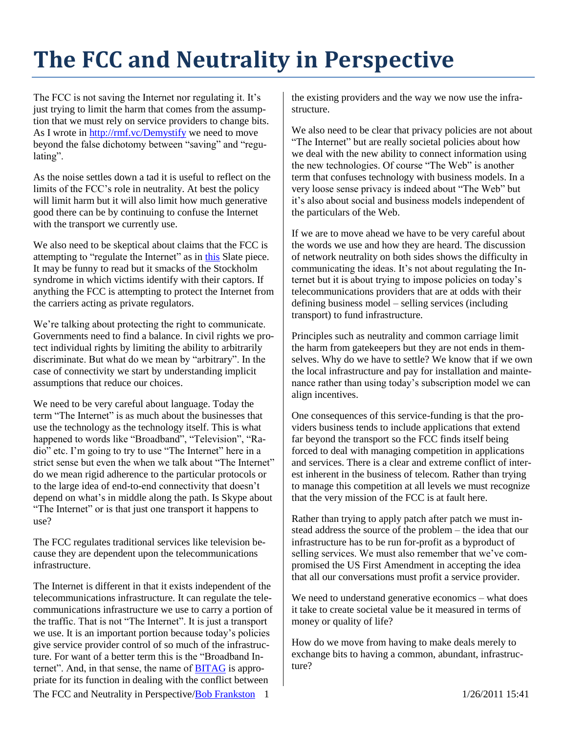## **The FCC and Neutrality in Perspective**

The FCC is not saving the Internet nor regulating it. It's just trying to limit the harm that comes from the assumption that we must rely on service providers to change bits. As I wrote in [http://rmf.vc/Demystify](http://rmf.vc/Demystify.FCCNNP) we need to move beyond the false dichotomy between "saving" and "regulating".

As the noise settles down a tad it is useful to reflect on the limits of the FCC's role in neutrality. At best the policy will limit harm but it will also limit how much generative good there can be by continuing to confuse the Internet with the transport we currently use.

We also need to be skeptical about claims that the FCC is attempting to "regulate the Internet" as in [this](http://www.slate.com/id/2279106) Slate piece. It may be funny to read but it smacks of the Stockholm syndrome in which victims identify with their captors. If anything the FCC is attempting to protect the Internet from the carriers acting as private regulators.

We're talking about protecting the right to communicate. Governments need to find a balance. In civil rights we protect individual rights by limiting the ability to arbitrarily discriminate. But what do we mean by "arbitrary". In the case of connectivity we start by understanding implicit assumptions that reduce our choices.

We need to be very careful about language. Today the term "The Internet" is as much about the businesses that use the technology as the technology itself. This is what happened to words like "Broadband", "Television", "Radio" etc. I'm going to try to use "The Internet" here in a strict sense but even the when we talk about "The Internet" do we mean rigid adherence to the particular protocols or to the large idea of end-to-end connectivity that doesn't depend on what's in middle along the path. Is Skype about "The Internet" or is that just one transport it happens to use?

The FCC regulates traditional services like television because they are dependent upon the telecommunications infrastructure.

The Internet is different in that it exists independent of the telecommunications infrastructure. It can regulate the telecommunications infrastructure we use to carry a portion of the traffic. That is not "The Internet". It is just a transport we use. It is an important portion because today's policies give service provider control of so much of the infrastructure. For want of a better term this is the "Broadband Internet". And, in that sense, the name of [BITAG](http://www.bitag.org/) is appropriate for its function in dealing with the conflict between

the existing providers and the way we now use the infrastructure.

We also need to be clear that privacy policies are not about "The Internet" but are really societal policies about how we deal with the new ability to connect information using the new technologies. Of course "The Web" is another term that confuses technology with business models. In a very loose sense privacy is indeed about "The Web" but it's also about social and business models independent of the particulars of the Web.

If we are to move ahead we have to be very careful about the words we use and how they are heard. The discussion of network neutrality on both sides shows the difficulty in communicating the ideas. It's not about regulating the Internet but it is about trying to impose policies on today's telecommunications providers that are at odds with their defining business model – selling services (including transport) to fund infrastructure.

Principles such as neutrality and common carriage limit the harm from gatekeepers but they are not ends in themselves. Why do we have to settle? We know that if we own the local infrastructure and pay for installation and maintenance rather than using today's subscription model we can align incentives.

One consequences of this service-funding is that the providers business tends to include applications that extend far beyond the transport so the FCC finds itself being forced to deal with managing competition in applications and services. There is a clear and extreme conflict of interest inherent in the business of telecom. Rather than trying to manage this competition at all levels we must recognize that the very mission of the FCC is at fault here.

Rather than trying to apply patch after patch we must instead address the source of the problem – the idea that our infrastructure has to be run for-profit as a byproduct of selling services. We must also remember that we've compromised the US First Amendment in accepting the idea that all our conversations must profit a service provider.

We need to understand generative economics – what does it take to create societal value be it measured in terms of money or quality of life?

How do we move from having to make deals merely to exchange bits to having a common, abundant, infrastructure?